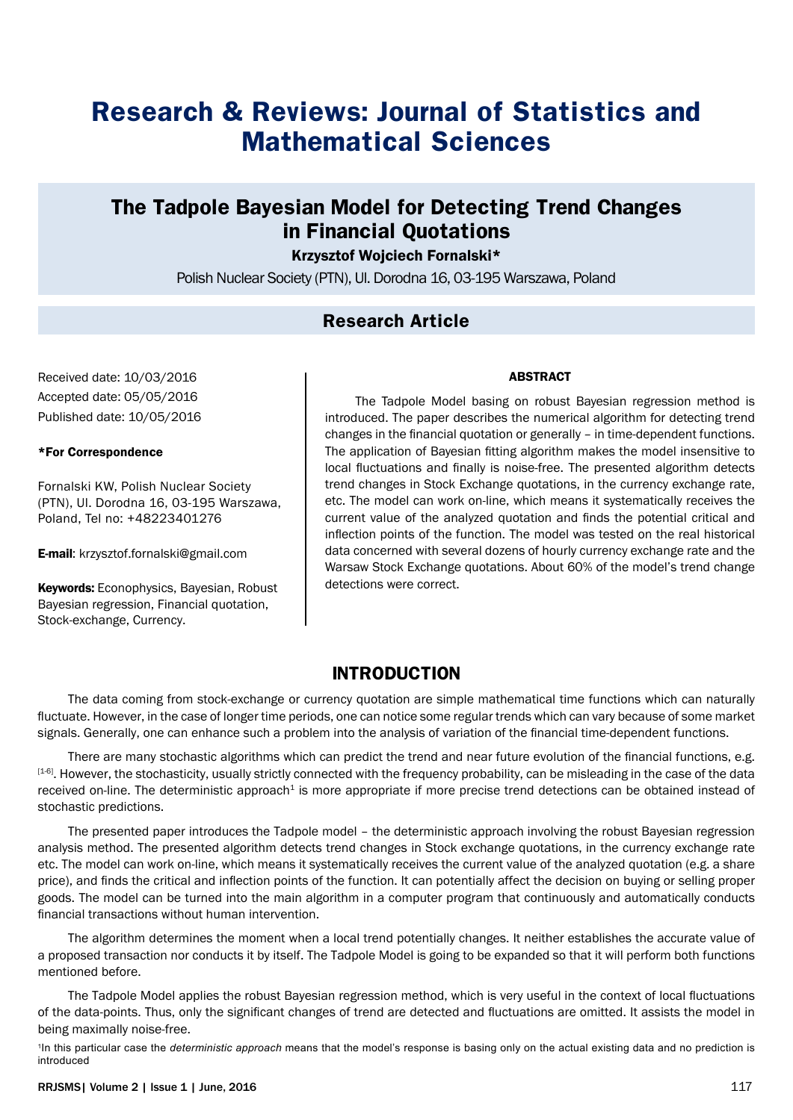# **Research & Reviews: Journal of Statistics and Mathematical Sciences**

## **The Tadpole Bayesian Model for Detecting Trend Changes in Financial Quotations**

Krzysztof Wojciech Fornalski\*

Polish Nuclear Society (PTN), Ul. Dorodna 16, 03-195 Warszawa, Poland

#### **Research Article**

Received date: 10/03/2016 Accepted date: 05/05/2016 Published date: 10/05/2016

#### \*For Correspondence

Fornalski KW, Polish Nuclear Society (PTN), Ul. Dorodna 16, 03-195 Warszawa, Poland, Tel no: +48223401276

E-mail: krzysztof.fornalski@gmail.com

Keywords: Econophysics, Bayesian, Robust Bayesian regression, Financial quotation, Stock-exchange, Currency.

#### ABSTRACT

The Tadpole Model basing on robust Bayesian regression method is introduced. The paper describes the numerical algorithm for detecting trend changes in the financial quotation or generally – in time-dependent functions. The application of Bayesian fitting algorithm makes the model insensitive to local fluctuations and finally is noise-free. The presented algorithm detects trend changes in Stock Exchange quotations, in the currency exchange rate, etc. The model can work on-line, which means it systematically receives the current value of the analyzed quotation and finds the potential critical and inflection points of the function. The model was tested on the real historical data concerned with several dozens of hourly currency exchange rate and the Warsaw Stock Exchange quotations. About 60% of the model's trend change detections were correct.

## **INTRODUCTION**

The data coming from stock-exchange or currency quotation are simple mathematical time functions which can naturally fluctuate. However, in the case of longer time periods, one can notice some regular trends which can vary because of some market signals. Generally, one can enhance such a problem into the analysis of variation of the financial time-dependent functions.

There are many stochastic algorithms which can predict the trend and near future evolution of the financial functions, e.g. [1-6]. However, the stochasticity, usually strictly connected with the frequency probability, can be misleading in the case of the data received on-line. The deterministic approach<sup>1</sup> is more appropriate if more precise trend detections can be obtained instead of stochastic predictions.

The presented paper introduces the Tadpole model – the deterministic approach involving the robust Bayesian regression analysis method. The presented algorithm detects trend changes in Stock exchange quotations, in the currency exchange rate etc. The model can work on-line, which means it systematically receives the current value of the analyzed quotation (e.g. a share price), and finds the critical and inflection points of the function. It can potentially affect the decision on buying or selling proper goods. The model can be turned into the main algorithm in a computer program that continuously and automatically conducts financial transactions without human intervention.

The algorithm determines the moment when a local trend potentially changes. It neither establishes the accurate value of a proposed transaction nor conducts it by itself. The Tadpole Model is going to be expanded so that it will perform both functions mentioned before.

The Tadpole Model applies the robust Bayesian regression method, which is very useful in the context of local fluctuations of the data-points. Thus, only the significant changes of trend are detected and fluctuations are omitted. It assists the model in being maximally noise-free.

1In this particular case the *deterministic approach* means that the model's response is basing only on the actual existing data and no prediction is introduced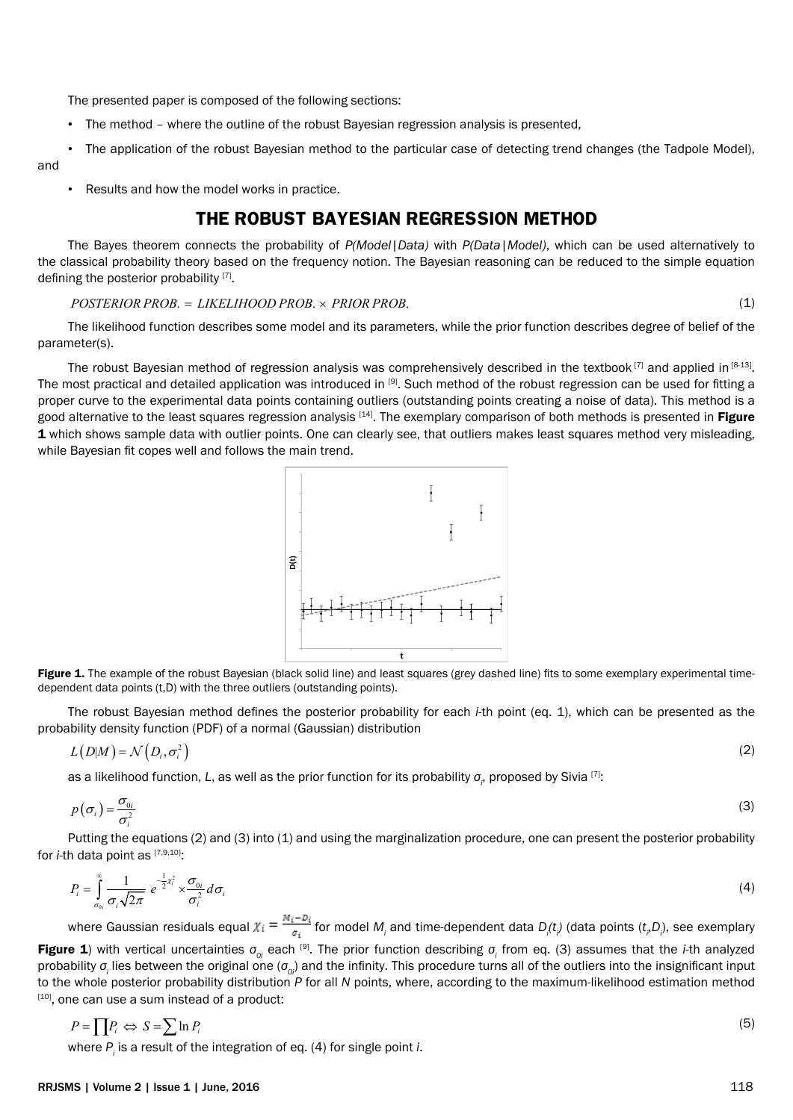The presented paper is composed of the following sections:

- The method where the outline of the robust Bayesian regression analysis is presented,
- The application of the robust Bayesian method to the particular case of detecting trend changes (the Tadpole Model), and
	- Results and how the model works in practice.

## **THE ROBUST BAYESIAN REGRESSION METHOD**

The Bayes theorem connects the probability of *P(Model|Data)* with *P(Data|Model)*, which can be used alternatively to the classical probability theory based on the frequency notion. The Bayesian reasoning can be reduced to the simple equation defining the posterior probability [7].

#### *POSTERIOR PROB LIKELIHOOD PROB PRIOR PROB* . = . . × (1)

The likelihood function describes some model and its parameters, while the prior function describes degree of belief of the parameter(s).

The robust Bayesian method of regression analysis was comprehensively described in the textbook  $[7]$  and applied in  $[8-13]$ . The most practical and detailed application was introduced in [9]. Such method of the robust regression can be used for fitting a proper curve to the experimental data points containing outliers (outstanding points creating a noise of data). This method is a good alternative to the least squares regression analysis [14]. The exemplary comparison of both methods is presented in Figure 1 which shows sample data with outlier points. One can clearly see, that outliers makes least squares method very misleading, while Bayesian fit copes well and follows the main trend.



Figure 1. The example of the robust Bayesian (black solid line) and least squares (grey dashed line) fits to some exemplary experimental timedependent data points (t,D) with the three outliers (outstanding points).

The robust Bayesian method defines the posterior probability for each *i*-th point (eq. 1), which can be presented as the probability density function (PDF) of a normal (Gaussian) distribution

$$
L(D|M) = \mathcal{N}\left(D_i, \sigma_i^2\right) \tag{2}
$$

as a likelihood function, *L*, as well as the prior function for its probability *σ<sup>i</sup>* , proposed by Sivia [7]:

$$
p(\sigma_i) = \frac{\sigma_{0i}}{\sigma_i^2} \tag{3}
$$

Putting the equations (2) and (3) into (1) and using the marginalization procedure, one can present the posterior probability for *i*-th data point as [7,9,10].

$$
P_i = \int_{\sigma_{0i}}^{\infty} \frac{1}{\sigma_i \sqrt{2\pi}} e^{-\frac{1}{2} \chi_i^2} \times \frac{\sigma_{0i}}{\sigma_i^2} d\sigma_i
$$
 (4)

where Gaussian residuals equal  $X_i = \frac{1}{\sigma_i}$  for model *M<sub>i</sub>* and time-dependent data *D<sub>i</sub>*(*t<sub>i</sub>*) (data points (*t<sub>i</sub>D<sub>i</sub>*), see exemplary Figure 1) with vertical uncertainties *σ0i* each [9]. The prior function describing *σ<sup>i</sup>* from eq. (3) assumes that the *i*-th analyzed probability *σ<sup>i</sup>* lies between the original one (*σ0i*) and the infinity. This procedure turns all of the outliers into the insignificant input to the whole posterior probability distribution *P* for all *N* points, where, according to the maximum-likelihood estimation method  $[10]$ , one can use a sum instead of a product:

$$
P = \prod P_i \iff S = \sum \ln P_i \tag{5}
$$

where *Pi* is a result of the integration of eq. (4) for single point *i*.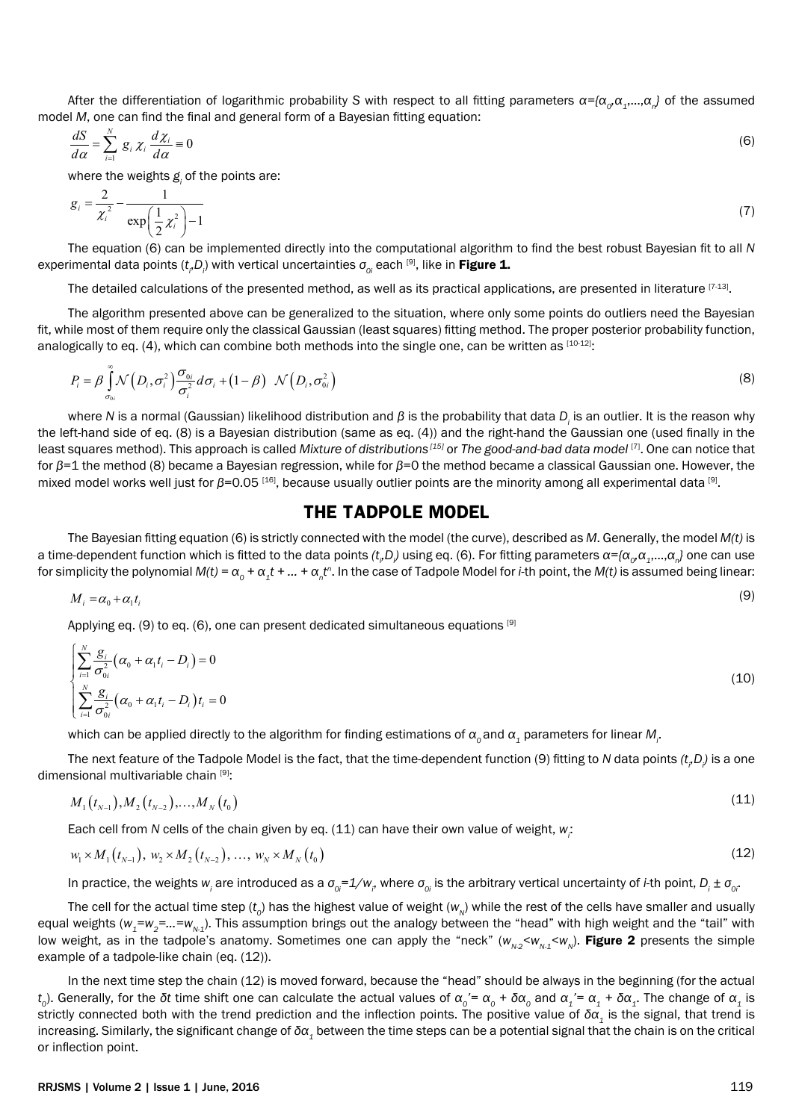After the differentiation of logarithmic probability *S* with respect to all fitting parameters *α={α0,α1*,…,*α<sup>n</sup> }* of the assumed model *M*, one can find the final and general form of a Bayesian fitting equation:

$$
\frac{dS}{d\alpha} = \sum_{i=1}^{N} g_i \chi_i \frac{d\chi_i}{d\alpha} = 0
$$
\n(6)

where the weights  $g_{\scriptscriptstyle i}$  of the points are:

$$
g_i = \frac{2}{\chi_i^2} - \frac{1}{\exp\left(\frac{1}{2}\chi_i^2\right) - 1} \tag{7}
$$

The equation (6) can be implemented directly into the computational algorithm to find the best robust Bayesian fit to all *N*  experimental data points ( $t_{_i}$ ,D<sub>i</sub>) with vertical uncertainties  $\sigma_{_{Oi}}$  each <sup>[9]</sup>, like in **Figure 1.** 

The detailed calculations of the presented method, as well as its practical applications, are presented in literature  $[7-13]$ .

The algorithm presented above can be generalized to the situation, where only some points do outliers need the Bayesian fit, while most of them require only the classical Gaussian (least squares) fitting method. The proper posterior probability function, analogically to eq. (4), which can combine both methods into the single one, can be written as  $[10-12]$ :

$$
P_i = \beta \int_{\sigma_{0i}}^{\infty} \mathcal{N}\left(D_i, \sigma_i^2\right) \frac{\sigma_{0i}}{\sigma_i^2} d\sigma_i + \left(1 - \beta\right) \mathcal{N}\left(D_i, \sigma_{0i}^2\right)
$$
\n(8)

where *N* is a normal (Gaussian) likelihood distribution and β is the probability that data D<sub>i</sub> is an outlier. It is the reason why the left-hand side of eq. (8) is a Bayesian distribution (same as eq. (4)) and the right-hand the Gaussian one (used finally in the least squares method). This approach is called *Mixture of distributions [15]* or *The good-and-bad data model* [7]. One can notice that for *β*=1 the method (8) became a Bayesian regression, while for *β*=0 the method became a classical Gaussian one. However, the mixed model works well just for β=0.05<sup>[16]</sup>, because usually outlier points are the minority among all experimental data<sup>[9]</sup>.

#### **THE TADPOLE MODEL**

The Bayesian fitting equation (6) is strictly connected with the model (the curve), described as *M*. Generally, the model *M(t)* is a time-dependent function which is fitted to the data points (t<sub></sub>, D<sub>i</sub>) using eq. (6). For fitting parameters  $\alpha$ ={ $\alpha$ <sub> $o$ </sub>, $\alpha$ <sub>1</sub>,…, $\alpha$ <sub>n</sub>} one can use for simplicity the polynomial  $M(t)=\alpha_o+\alpha_1t+...+\alpha_nt^n.$  In the case of Tadpole Model for *i*-th point, the  $M(t)$  is assumed being linear:

$$
M_i = \alpha_0 + \alpha_1 t_i \tag{9}
$$

Applying eq. (9) to eq. (6), one can present dedicated simultaneous equations  $[9]$ 

$$
\begin{cases}\n\sum_{i=1}^{N} \frac{g_i}{\sigma_{0i}^2} \left( \alpha_0 + \alpha_1 t_i - D_i \right) = 0 \\
\sum_{i=1}^{N} \frac{g_i}{\sigma_{0i}^2} \left( \alpha_0 + \alpha_1 t_i - D_i \right) t_i = 0\n\end{cases}
$$
\n(10)

which can be applied directly to the algorithm for finding estimations of  $\alpha_o$  and  $\alpha_1$  parameters for linear  $M_{_{\!{}_i}}$ 

The next feature of the Tadpole Model is the fact, that the time-dependent function (9) fitting to *N* data points (t<sub>r</sub>D<sub>r</sub>) is a one dimensional multivariable chain [9]:

$$
M_1(t_{N-1}), M_2(t_{N-2}), \ldots, M_N(t_0) \tag{11}
$$

Each cell from *N* cells of the chain given by eq. (11) can have their own value of weight, w<sub>i</sub>:

$$
w_1 \times M_1(t_{N-1}), \, w_2 \times M_2(t_{N-2}), \, \dots, \, w_N \times M_N(t_0) \tag{12}
$$

In practice, the weights w<sub>i</sub> are introduced as a σ<sub>οi</sub>=1/w<sub>i</sub>, where σ<sub>οi</sub> is the arbitrary vertical uncertainty of *i*-th point, D<sub>i</sub> ± σ<sub>οi</sub>.

The cell for the actual time step ( $t_o$ ) has the highest value of weight ( $w_{_N}$ ) while the rest of the cells have smaller and usually equal weights ( $w_1 = w_2 = ... = w_{N-1}$ ). This assumption brings out the analogy between the "head" with high weight and the "tail" with low weight, as in the tadpole's anatomy. Sometimes one can apply the "neck" ( $w_{N-2}$ < $w_{N-1}$ < $w_{N}$ ). Figure 2 presents the simple example of a tadpole-like chain (eq. (12)).

In the next time step the chain (12) is moved forward, because the "head" should be always in the beginning (for the actual  $t_o$ ). Generally, for the δ $t$  time shift one can calculate the actual values of  $\alpha_o'=\alpha_o+\delta\alpha_o$  and  $\alpha_i'=\alpha_i+\delta\alpha_i$ . The change of  $\alpha_i$  is strictly connected both with the trend prediction and the inflection points. The positive value of *δα1* is the signal, that trend is increasing. Similarly, the significant change of *δα1* between the time steps can be a potential signal that the chain is on the critical or inflection point.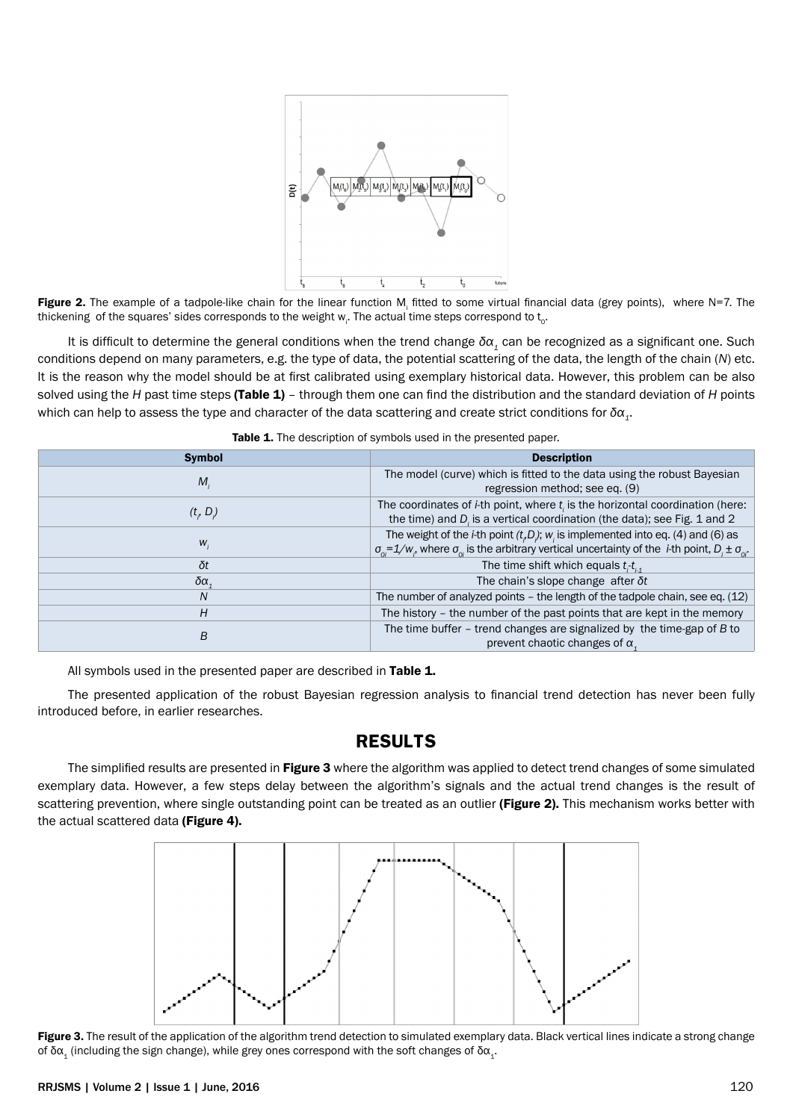

Figure 2. The example of a tadpole-like chain for the linear function M<sub>i</sub> fitted to some virtual financial data (grey points), where N=7. The thickening  $\,$  of the squares' sides corresponds to the weight  $\rm w_{_{i}}$ . The actual time steps correspond to  $\rm t_{_{0}}$ .

It is difficult to determine the general conditions when the trend change *δα1* can be recognized as a significant one. Such conditions depend on many parameters, e.g. the type of data, the potential scattering of the data, the length of the chain (*N*) etc. It is the reason why the model should be at first calibrated using exemplary historical data. However, this problem can be also solved using the *H* past time steps (Table 1) – through them one can find the distribution and the standard deviation of *H* points which can help to assess the type and character of the data scattering and create strict conditions for *δα1*.

| <b>Symbol</b>   | <b>Description</b>                                                                                                                                                                                                             |
|-----------------|--------------------------------------------------------------------------------------------------------------------------------------------------------------------------------------------------------------------------------|
| M.              | The model (curve) which is fitted to the data using the robust Bayesian<br>regression method; see eq. (9)                                                                                                                      |
| (t, D)          | The coordinates of $i$ -th point, where $t_i$ is the horizontal coordination (here:<br>the time) and D is a vertical coordination (the data); see Fig. 1 and 2                                                                 |
| $W_i$           | The weight of the <i>i</i> -th point $(t,D)$ ; $w_i$ is implemented into eq. (4) and (6) as<br>$\sigma_{0} = 1/w$ , where $\sigma_{0}$ is the arbitrary vertical uncertainty of the <i>i</i> -th point, $D_i \pm \sigma_{0}$ . |
| δt              | The time shift which equals $t_i-t_{i+1}$                                                                                                                                                                                      |
| δα <sub>4</sub> | The chain's slope change after $\delta t$                                                                                                                                                                                      |
| N               | The number of analyzed points $-$ the length of the tadpole chain, see eq. $(12)$                                                                                                                                              |
| H               | The history - the number of the past points that are kept in the memory                                                                                                                                                        |
| B               | The time buffer $-$ trend changes are signalized by the time-gap of $B$ to<br>prevent chaotic changes of $\alpha$ ,                                                                                                            |

| <b>Table 1.</b> The description of symbols used in the presented paper. |  |  |
|-------------------------------------------------------------------------|--|--|
|-------------------------------------------------------------------------|--|--|

All symbols used in the presented paper are described in Table 1.

The presented application of the robust Bayesian regression analysis to financial trend detection has never been fully introduced before, in earlier researches.

#### **RESULTS**

The simplified results are presented in Figure 3 where the algorithm was applied to detect trend changes of some simulated exemplary data. However, a few steps delay between the algorithm's signals and the actual trend changes is the result of scattering prevention, where single outstanding point can be treated as an outlier (Figure 2). This mechanism works better with the actual scattered data (Figure 4).



Figure 3. The result of the application of the algorithm trend detection to simulated exemplary data. Black vertical lines indicate a strong change of δα<sub>1</sub> (including the sign change), while grey ones correspond with the soft changes of δα<sub>1</sub>.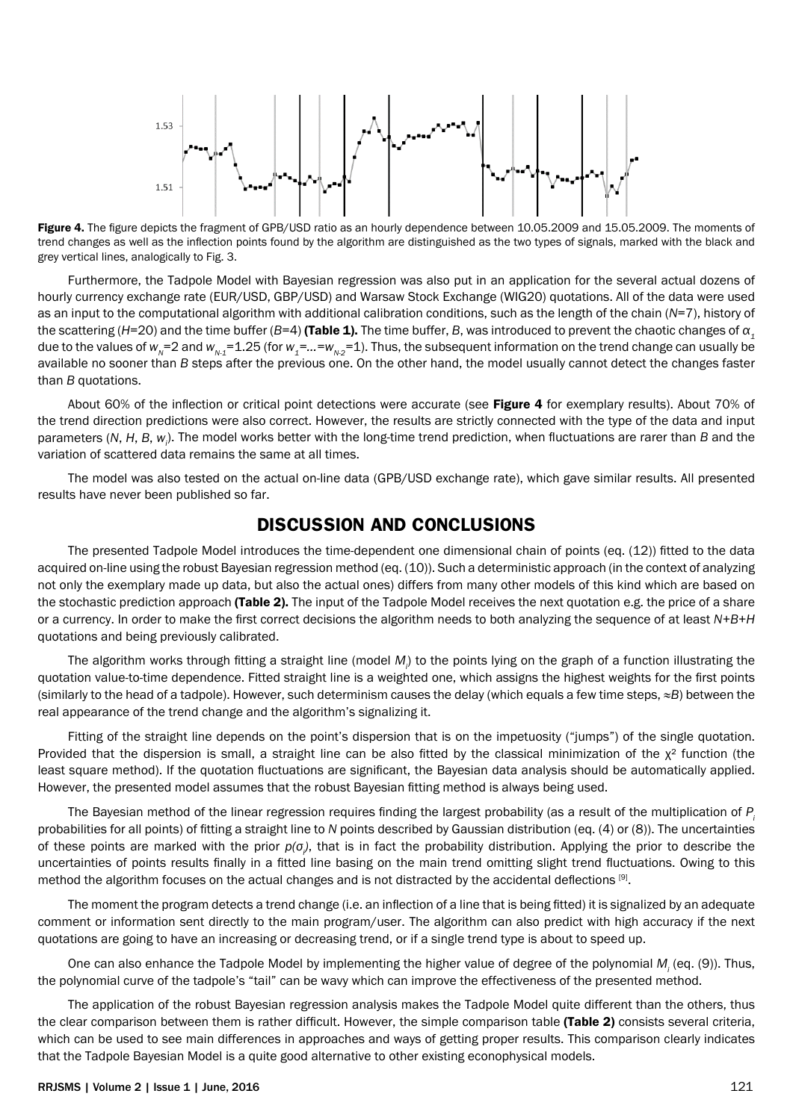

Figure 4. The figure depicts the fragment of GPB/USD ratio as an hourly dependence between 10.05.2009 and 15.05.2009. The moments of trend changes as well as the inflection points found by the algorithm are distinguished as the two types of signals, marked with the black and grey vertical lines, analogically to Fig. 3.

Furthermore, the Tadpole Model with Bayesian regression was also put in an application for the several actual dozens of hourly currency exchange rate (EUR/USD, GBP/USD) and Warsaw Stock Exchange (WIG20) quotations. All of the data were used as an input to the computational algorithm with additional calibration conditions, such as the length of the chain (*N*=7), history of the scattering (*H*=20) and the time buffer (*B*=4) (Table 1). The time buffer, *B*, was introduced to prevent the chaotic changes of *α<sup>1</sup>* due to the values of  $w_N=2$  and  $w_{N-1}=1.25$  (for  $w_1=...=w_{N-2}=1$ ). Thus, the subsequent information on the trend change can usually be available no sooner than *B* steps after the previous one. On the other hand, the model usually cannot detect the changes faster than *B* quotations.

About 60% of the inflection or critical point detections were accurate (see Figure 4 for exemplary results). About 70% of the trend direction predictions were also correct. However, the results are strictly connected with the type of the data and input parameters (*N*, *H*, *B*, *wi* ). The model works better with the long-time trend prediction, when fluctuations are rarer than *B* and the variation of scattered data remains the same at all times.

The model was also tested on the actual on-line data (GPB/USD exchange rate), which gave similar results. All presented results have never been published so far.

#### **DISCUSSION AND CONCLUSIONS**

The presented Tadpole Model introduces the time-dependent one dimensional chain of points (eq. (12)) fitted to the data acquired on-line using the robust Bayesian regression method (eq. (10)). Such a deterministic approach (in the context of analyzing not only the exemplary made up data, but also the actual ones) differs from many other models of this kind which are based on the stochastic prediction approach (Table 2). The input of the Tadpole Model receives the next quotation e.g. the price of a share or a currency. In order to make the first correct decisions the algorithm needs to both analyzing the sequence of at least *N+B+H* quotations and being previously calibrated.

The algorithm works through fitting a straight line (model M<sub>i</sub>) to the points lying on the graph of a function illustrating the quotation value-to-time dependence. Fitted straight line is a weighted one, which assigns the highest weights for the first points (similarly to the head of a tadpole). However, such determinism causes the delay (which equals a few time steps, *≈B*) between the real appearance of the trend change and the algorithm's signalizing it.

Fitting of the straight line depends on the point's dispersion that is on the impetuosity ("jumps") of the single quotation. Provided that the dispersion is small, a straight line can be also fitted by the classical minimization of the  $x^2$  function (the least square method). If the quotation fluctuations are significant, the Bayesian data analysis should be automatically applied. However, the presented model assumes that the robust Bayesian fitting method is always being used.

The Bayesian method of the linear regression requires finding the largest probability (as a result of the multiplication of *Pi* probabilities for all points) of fitting a straight line to *N* points described by Gaussian distribution (eq. (4) or (8)). The uncertainties of these points are marked with the prior *p(σ<sup>i</sup> )*, that is in fact the probability distribution. Applying the prior to describe the uncertainties of points results finally in a fitted line basing on the main trend omitting slight trend fluctuations. Owing to this method the algorithm focuses on the actual changes and is not distracted by the accidental deflections [9].

The moment the program detects a trend change (i.e. an inflection of a line that is being fitted) it is signalized by an adequate comment or information sent directly to the main program/user. The algorithm can also predict with high accuracy if the next quotations are going to have an increasing or decreasing trend, or if a single trend type is about to speed up.

One can also enhance the Tadpole Model by implementing the higher value of degree of the polynomial M<sub>i</sub> (eq. (9)). Thus, the polynomial curve of the tadpole's "tail" can be wavy which can improve the effectiveness of the presented method.

The application of the robust Bayesian regression analysis makes the Tadpole Model quite different than the others, thus the clear comparison between them is rather difficult. However, the simple comparison table (Table 2) consists several criteria, which can be used to see main differences in approaches and ways of getting proper results. This comparison clearly indicates that the Tadpole Bayesian Model is a quite good alternative to other existing econophysical models.